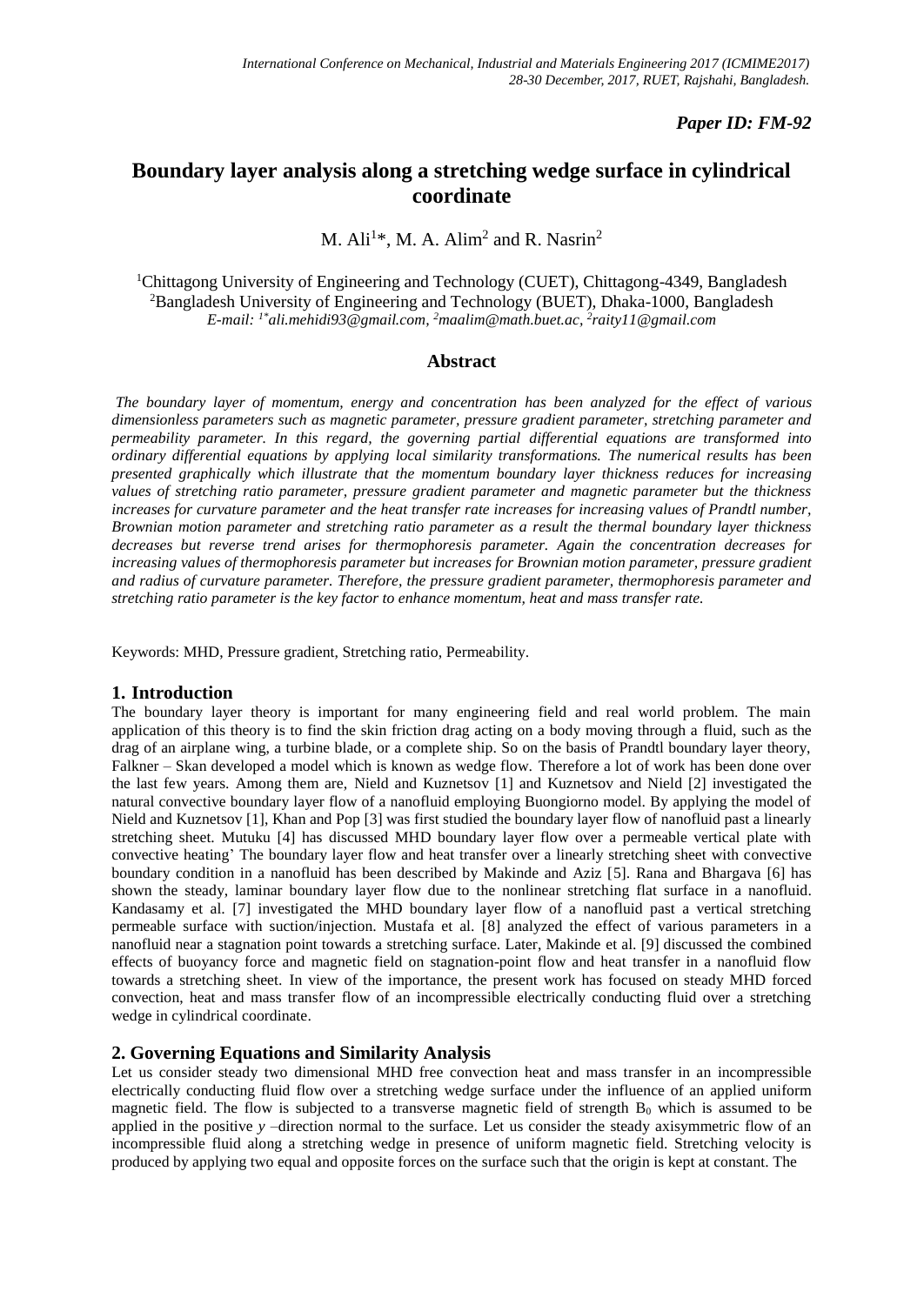# *Paper ID: FM-92*

# **Boundary layer analysis along a stretching wedge surface in cylindrical coordinate**

M. Ali<sup>1\*</sup>, M. A. Alim<sup>2</sup> and R. Nasrin<sup>2</sup>

<sup>1</sup>Chittagong University of Engineering and Technology (CUET), Chittagong-4349, Bangladesh <sup>2</sup>Bangladesh University of Engineering and Technology (BUET), Dhaka-1000, Bangladesh *E-mail: 1\*[ali.mehidi93@gmail.com,](mailto:ali.mehidi93@gmail.com) <sup>2</sup>[maalim@math.buet.ac,](mailto:maalim@math.buet.ac) 2 raity11@gmail.com*

### **Abstract**

*The boundary layer of momentum, energy and concentration has been analyzed for the effect of various dimensionless parameters such as magnetic parameter, pressure gradient parameter, stretching parameter and permeability parameter. In this regard, the governing partial differential equations are transformed into ordinary differential equations by applying local similarity transformations. The numerical results has been presented graphically which illustrate that the momentum boundary layer thickness reduces for increasing values of stretching ratio parameter, pressure gradient parameter and magnetic parameter but the thickness increases for curvature parameter and the heat transfer rate increases for increasing values of Prandtl number, Brownian motion parameter and stretching ratio parameter as a result the thermal boundary layer thickness decreases but reverse trend arises for thermophoresis parameter. Again the concentration decreases for increasing values of thermophoresis parameter but increases for Brownian motion parameter, pressure gradient and radius of curvature parameter. Therefore, the pressure gradient parameter, thermophoresis parameter and stretching ratio parameter is the key factor to enhance momentum, heat and mass transfer rate.*

Keywords: MHD, Pressure gradient, Stretching ratio, Permeability.

## **1. Introduction**

The boundary layer theory is important for many engineering field and real world problem. The main application of this theory is to find the skin friction drag acting on a body moving through a fluid, such as the drag of an airplane wing, a turbine blade, or a complete ship. So on the basis of Prandtl boundary layer theory, Falkner – Skan developed a model which is known as wedge flow. Therefore a lot of work has been done over the last few years. Among them are, Nield and Kuznetsov [1] and Kuznetsov and Nield [2] investigated the natural convective boundary layer flow of a nanofluid employing Buongiorno model. By applying the model of Nield and Kuznetsov [1], Khan and Pop [3] was first studied the boundary layer flow of nanofluid past a linearly stretching sheet. Mutuku [4] has discussed MHD boundary layer flow over a permeable vertical plate with convective heating' The boundary layer flow and heat transfer over a linearly stretching sheet with convective boundary condition in a nanofluid has been described by Makinde and Aziz [5]. Rana and Bhargava [6] has shown the steady, laminar boundary layer flow due to the nonlinear stretching flat surface in a nanofluid. Kandasamy et al. [7] investigated the MHD boundary layer flow of a nanofluid past a vertical stretching permeable surface with suction/injection. Mustafa et al. [8] analyzed the effect of various parameters in a nanofluid near a stagnation point towards a stretching surface. Later, Makinde et al. [9] discussed the combined effects of buoyancy force and magnetic field on stagnation-point flow and heat transfer in a nanofluid flow towards a stretching sheet. In view of the importance, the present work has focused on steady MHD forced convection, heat and mass transfer flow of an incompressible electrically conducting fluid over a stretching wedge in cylindrical coordinate.

## **2. Governing Equations and Similarity Analysis**

Let us consider steady two dimensional MHD free convection heat and mass transfer in an incompressible electrically conducting fluid flow over a stretching wedge surface under the influence of an applied uniform magnetic field. The flow is subjected to a transverse magnetic field of strength  $B_0$  which is assumed to be applied in the positive *y* –direction normal to the surface. Let us consider the steady axisymmetric flow of an incompressible fluid along a stretching wedge in presence of uniform magnetic field. Stretching velocity is produced by applying two equal and opposite forces on the surface such that the origin is kept at constant. The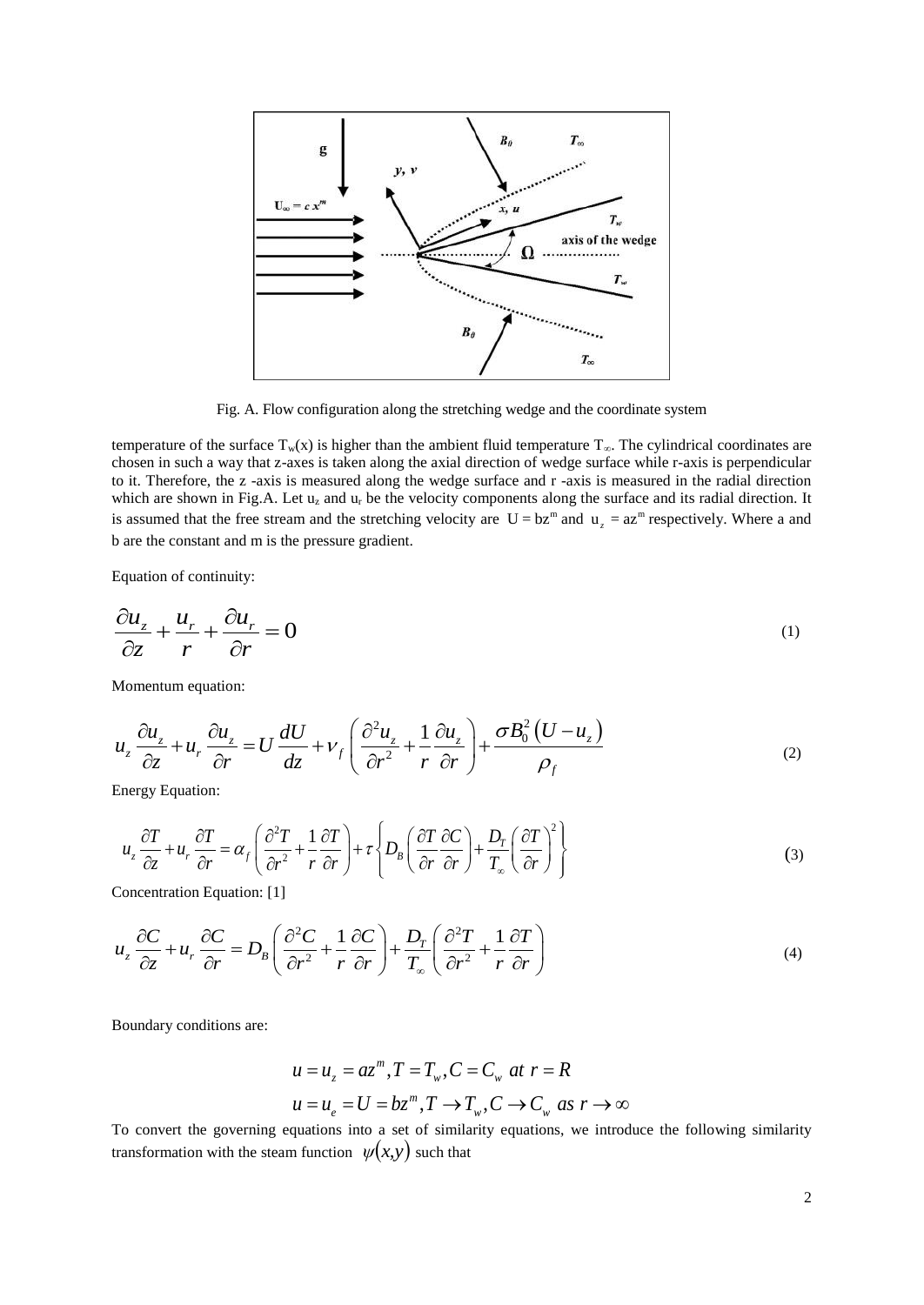

Fig. A. Flow configuration along the stretching wedge and the coordinate system

temperature of the surface  $T_w(x)$  is higher than the ambient fluid temperature  $T_\infty$ . The cylindrical coordinates are chosen in such a way that z-axes is taken along the axial direction of wedge surface while r-axis is perpendicular to it. Therefore, the z -axis is measured along the wedge surface and r -axis is measured in the radial direction which are shown in Fig.A. Let u<sub>z</sub> and u<sub>r</sub> be the velocity components along the surface and its radial direction. It is assumed that the free stream and the stretching velocity are  $U = bz^m$  and  $u_z = az^m$  respectively. Where a and b are the constant and m is the pressure gradient.

Equation of continuity:

$$
\frac{\partial u_z}{\partial z} + \frac{u_r}{r} + \frac{\partial u_r}{\partial r} = 0
$$
\n(1)

Momentum equation:

Momentum equation:  
\n
$$
u_z \frac{\partial u_z}{\partial z} + u_r \frac{\partial u_z}{\partial r} = U \frac{dU}{dz} + V_f \left( \frac{\partial^2 u_z}{\partial r^2} + \frac{1}{r} \frac{\partial u_z}{\partial r} \right) + \frac{\sigma B_0^2 (U - u_z)}{\rho_f}
$$
\n(2)

Energy Equation:

energy Equation:  
\n
$$
u_z \frac{\partial T}{\partial z} + u_r \frac{\partial T}{\partial r} = \alpha_f \left( \frac{\partial^2 T}{\partial r^2} + \frac{1}{r} \frac{\partial T}{\partial r} \right) + \tau \left\{ D_B \left( \frac{\partial T}{\partial r} \frac{\partial C}{\partial r} \right) + \frac{D_T}{T_{\infty}} \left( \frac{\partial T}{\partial r} \right)^2 \right\}
$$
\n(3)

Concentration Equation: [1]

Concentration Equation: [1]  
\n
$$
u_z \frac{\partial C}{\partial z} + u_r \frac{\partial C}{\partial r} = D_B \left( \frac{\partial^2 C}{\partial r^2} + \frac{1}{r} \frac{\partial C}{\partial r} \right) + \frac{D_r}{T_{\infty}} \left( \frac{\partial^2 T}{\partial r^2} + \frac{1}{r} \frac{\partial T}{\partial r} \right)
$$
\n(4)

Boundary conditions are:

$$
u = u_z = az^m, T = T_w, C = C_w \text{ at } r = R
$$
  

$$
u = u_e = U = bz^m, T \to T_w, C \to C_w \text{ as } r \to \infty
$$

To convert the governing equations into a set of similarity equations, we introduce the following similarity transformation with the steam function  $\psi(x, y)$  such that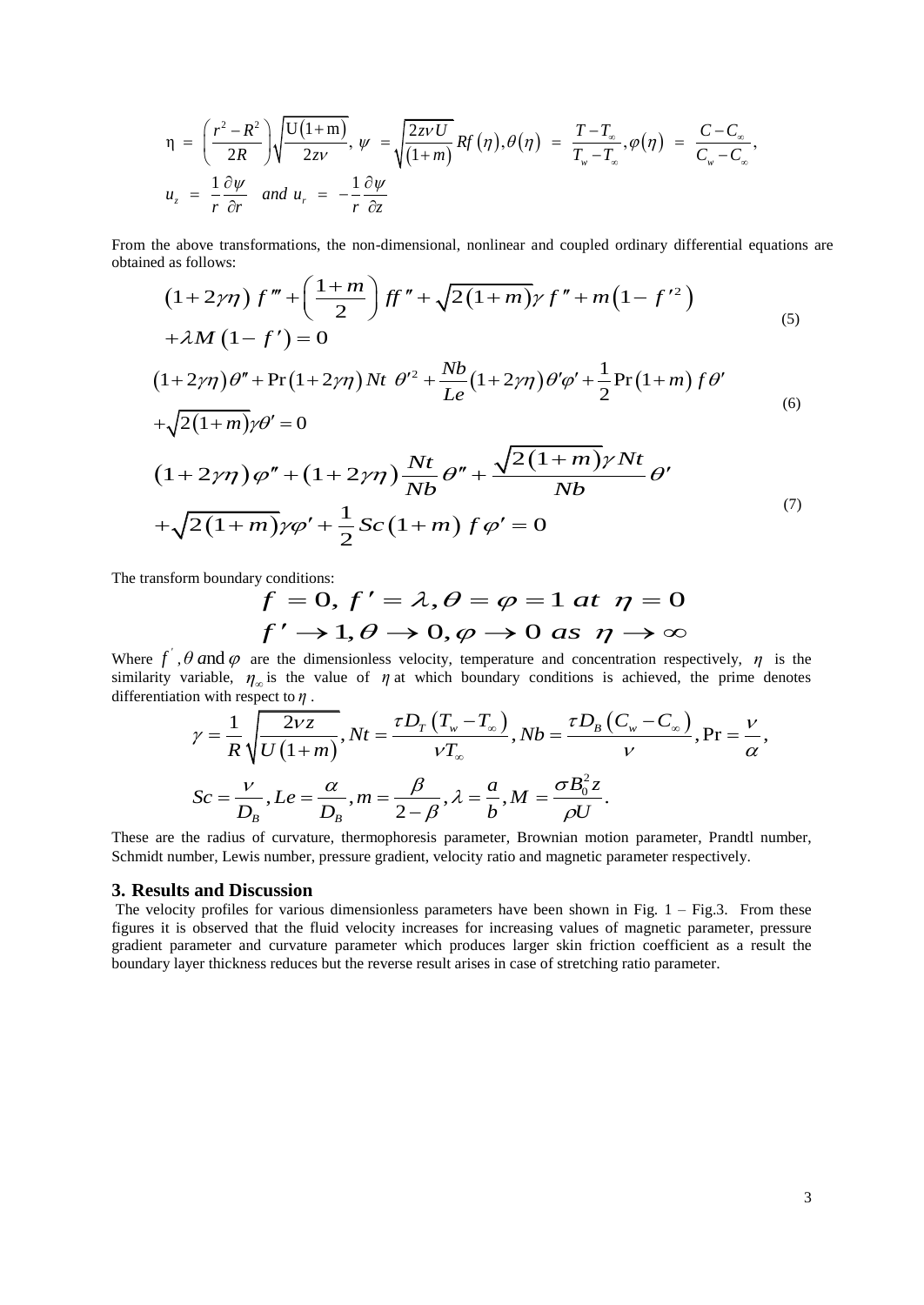$$
\eta = \left(\frac{r^2 - R^2}{2R}\right) \sqrt{\frac{U(1+m)}{2zv}}, \ \psi = \sqrt{\frac{2zvU}{(1+m)}} Rf(\eta), \theta(\eta) = \frac{T-T_{\infty}}{T_{w}-T_{\infty}}, \phi(\eta) = \frac{C-C_{\infty}}{C_{w}-C_{\infty}},
$$

$$
u_{z} = \frac{1}{r} \frac{\partial \psi}{\partial r} \quad \text{and} \ \ u_{r} = -\frac{1}{r} \frac{\partial \psi}{\partial z}
$$

obtained as follows:

From the above transformations, the non-dimensional, nonlinear and coupled ordinary differential equations are obtained as follows:\n
$$
(1+2\gamma\eta) f'' + \left(\frac{1+m}{2}\right) ff'' + \sqrt{2(1+m)}\gamma f'' + m(1-f') \tag{5}
$$
\n
$$
+ \lambda M (1-f') = 0
$$
\n
$$
(1+2\gamma\eta) \theta'' + \Pr(1+2\gamma\eta) Nt \theta'^2 + \frac{Nb}{Le} (1+2\gamma\eta) \theta' \phi' + \frac{1}{2} \Pr(1+m) f \theta' \tag{6}
$$
\n
$$
+ \sqrt{2(1+m)}\gamma \theta' = 0
$$
\n
$$
(1+2\gamma\eta) \varphi'' + (1+2\gamma\eta) \frac{Nt}{Nb} \theta'' + \frac{\sqrt{2(1+m)}\gamma Nt}{Nb} \theta' \tag{7}
$$
\n
$$
+ \sqrt{2(1+m)}\gamma \varphi' + \frac{1}{2} Sc(1+m) f \varphi' = 0
$$

The transform boundary conditions:

$$
f = 0, f' = \lambda, \theta = \varphi = 1 \text{ at } \eta = 0
$$
  

$$
f' \rightarrow 1, \theta \rightarrow 0, \varphi \rightarrow 0 \text{ as } \eta \rightarrow \infty
$$

Where  $f'$ ,  $\theta$  and  $\varphi$  are the dimensionless velocity, temperature and concentration respectively,  $\eta$  is the where *f*, *b* and *φ* are the unherisoness velocity, temperature and concentration respectively, *η* is the similarity variable,  $\eta_{\infty}$  is the value of  $\eta$  at which boundary conditions is achieved, the prime denotes differentiation with respect to *η* . be unlensionless velocity, temperature and concentration respectively,  $\eta$  is the<br>he value of  $\eta$  at which boundary conditions is achieved, the prime denotes<br> $\frac{\partial \eta}{\partial VZ}$ ,  $Nt = \frac{\tau D_T (T_w - T_\infty)}{T}$ ,  $Nb = \frac{\tau D_B (C_w - C_\infty)}{T$ 

ariable, 
$$
\eta_{\infty}
$$
 is the value of  $\eta$  at which boundary conditions is achieved, the prime denotes  
on with respect to  $\eta$ .  

$$
\gamma = \frac{1}{R} \sqrt{\frac{2vz}{U(1+m)}}, Nt = \frac{\tau D_T (T_w - T_{\infty})}{vT_{\infty}}, Nb = \frac{\tau D_B (C_w - C_{\infty})}{v}, \Pr = \frac{v}{\alpha},
$$

$$
Sc = \frac{v}{D_B}, Le = \frac{\alpha}{D_B}, m = \frac{\beta}{2-\beta}, \lambda = \frac{a}{b}, M = \frac{\sigma B_0^2 z}{\rho U}.
$$

These are the radius of curvature, thermophoresis parameter, Brownian motion parameter, Prandtl number, Schmidt number, Lewis number, pressure gradient, velocity ratio and magnetic parameter respectively.

#### **3. Results and Discussion**

The velocity profiles for various dimensionless parameters have been shown in Fig. 1 – Fig.3. From these figures it is observed that the fluid velocity increases for increasing values of magnetic parameter, pressure gradient parameter and curvature parameter which produces larger skin friction coefficient as a result the boundary layer thickness reduces but the reverse result arises in case of stretching ratio parameter.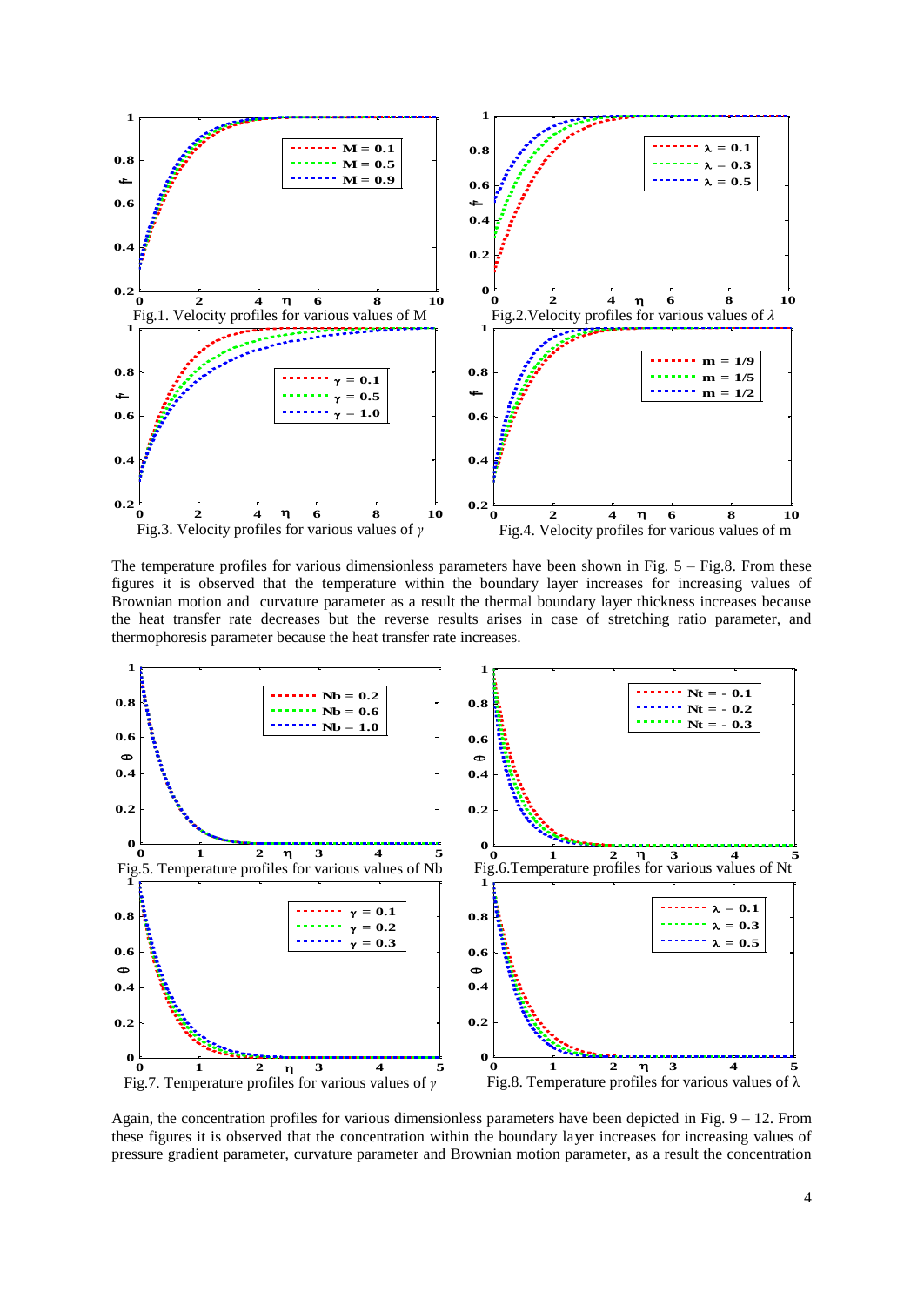

The temperature profiles for various dimensionless parameters have been shown in Fig. 5 – Fig.8. From these figures it is observed that the temperature within the boundary layer increases for increasing values of Brownian motion and curvature parameter as a result the thermal boundary layer thickness increases because the heat transfer rate decreases but the reverse results arises in case of stretching ratio parameter, and thermophoresis parameter because the heat transfer rate increases.



Again, the concentration profiles for various dimensionless parameters have been depicted in Fig. 9 – 12. From these figures it is observed that the concentration within the boundary layer increases for increasing values of pressure gradient parameter, curvature parameter and Brownian motion parameter, as a result the concentration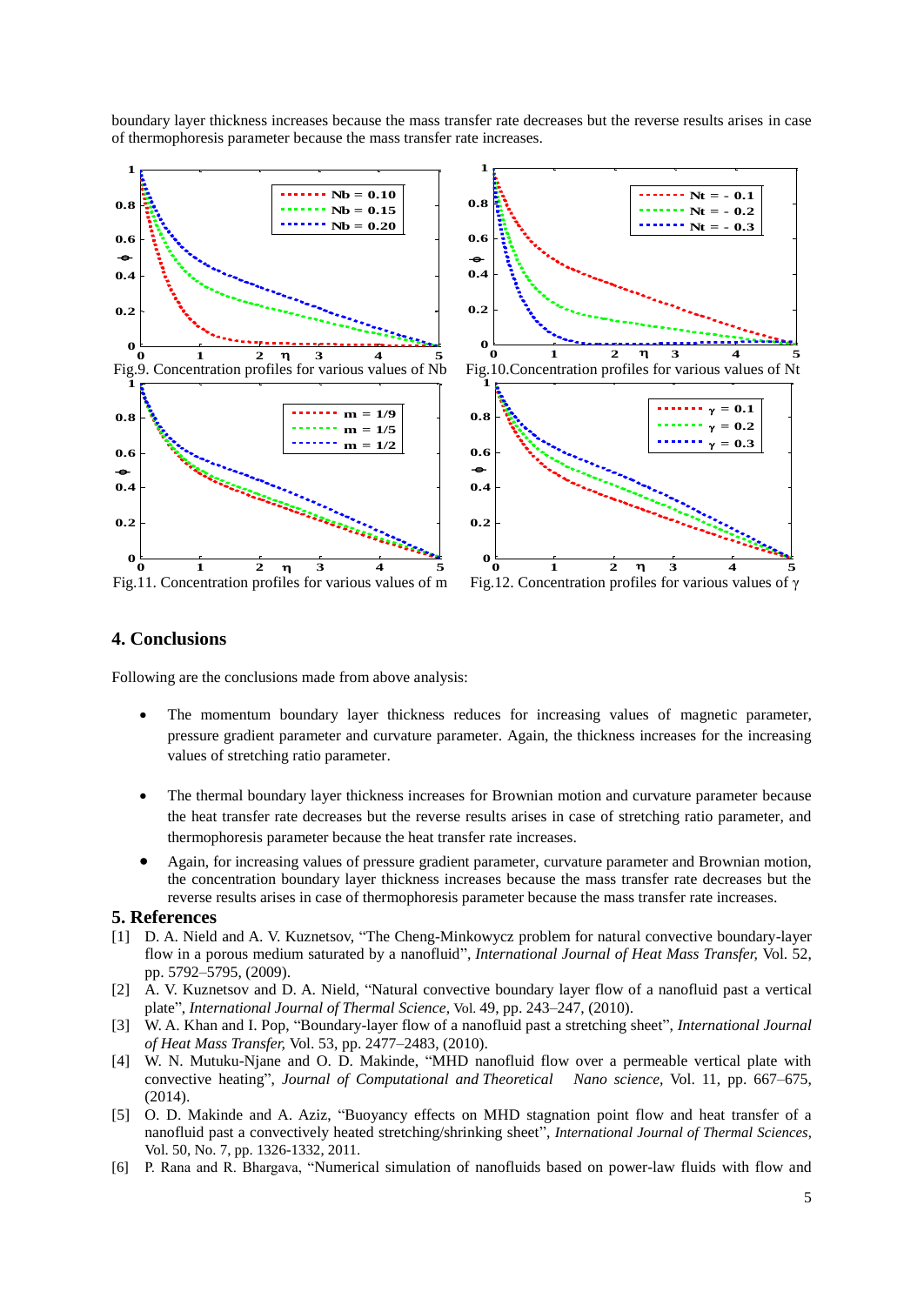boundary layer thickness increases because the mass transfer rate decreases but the reverse results arises in case of thermophoresis parameter because the mass transfer rate increases.



#### **4. Conclusions**

Following are the conclusions made from above analysis:

- The momentum boundary layer thickness reduces for increasing values of magnetic parameter, pressure gradient parameter and curvature parameter. Again, the thickness increases for the increasing values of stretching ratio parameter.
- The thermal boundary layer thickness increases for Brownian motion and curvature parameter because the heat transfer rate decreases but the reverse results arises in case of stretching ratio parameter, and thermophoresis parameter because the heat transfer rate increases.
- Again, for increasing values of pressure gradient parameter, curvature parameter and Brownian motion, the concentration boundary layer thickness increases because the mass transfer rate decreases but the reverse results arises in case of thermophoresis parameter because the mass transfer rate increases.

#### **5. References**

- [1] D. A. Nield and A. V. Kuznetsov, "The Cheng-Minkowycz problem for natural convective boundary-layer flow in a porous medium saturated by a nanofluid", *International Journal of Heat Mass Transfer,* Vol. 52, pp. 5792–5795, (2009).
- [2] A. V. Kuznetsov and D. A. Nield, "Natural convective boundary layer flow of a nanofluid past a vertical plate", *International Journal of Thermal Science,* Vol. 49, pp. 243–247, (2010).
- [3] W. A. Khan and I. Pop, "Boundary-layer flow of a nanofluid past a stretching sheet", *International Journal of Heat Mass Transfer,* Vol. 53, pp. 2477–2483, (2010).
- [4] W. N. Mutuku-Njane and O. D. Makinde, "MHD nanofluid flow over a permeable vertical plate with convective heating", *Journal of Computational and Theoretical Nano science,* Vol. 11, pp. 667–675, (2014).
- [5] O. D. Makinde and A. Aziz, "Buoyancy effects on MHD stagnation point flow and heat transfer of a nanofluid past a convectively heated stretching/shrinking sheet", *International Journal of Thermal Sciences*, Vol. 50, No. 7, pp. 1326-1332, 2011.
- [6] P. Rana and R. Bhargava, "Numerical simulation of nanofluids based on power-law fluids with flow and